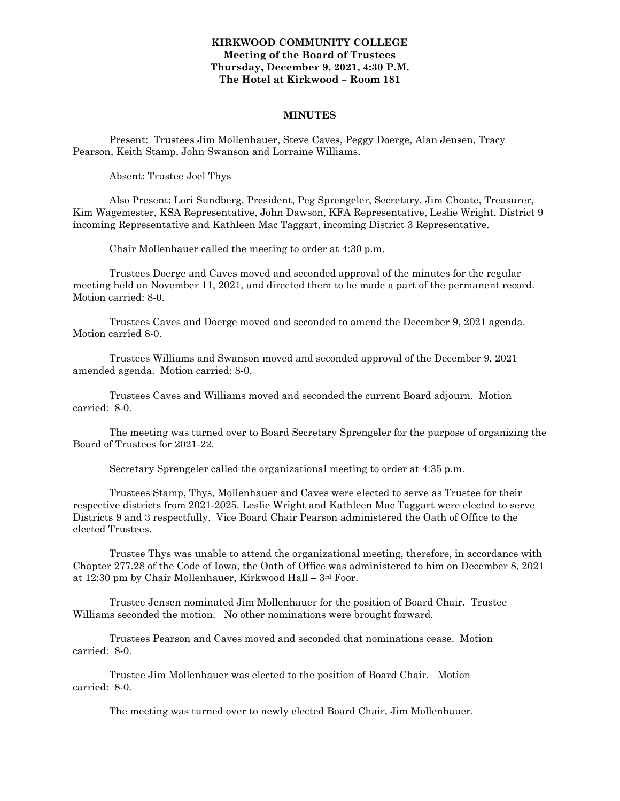### **KIRKWOOD COMMUNITY COLLEGE Meeting of the Board of Trustees Thursday, December 9, 2021, 4:30 P.M. The Hotel at Kirkwood – Room 181**

#### **MINUTES**

Present: Trustees Jim Mollenhauer, Steve Caves, Peggy Doerge, Alan Jensen, Tracy Pearson, Keith Stamp, John Swanson and Lorraine Williams.

Absent: Trustee Joel Thys

Also Present: Lori Sundberg, President, Peg Sprengeler, Secretary, Jim Choate, Treasurer, Kim Wagemester, KSA Representative, John Dawson, KFA Representative, Leslie Wright, District 9 incoming Representative and Kathleen Mac Taggart, incoming District 3 Representative.

Chair Mollenhauer called the meeting to order at 4:30 p.m.

Trustees Doerge and Caves moved and seconded approval of the minutes for the regular meeting held on November 11, 2021, and directed them to be made a part of the permanent record. Motion carried: 8-0.

Trustees Caves and Doerge moved and seconded to amend the December 9, 2021 agenda. Motion carried 8-0.

Trustees Williams and Swanson moved and seconded approval of the December 9, 2021 amended agenda. Motion carried: 8-0.

Trustees Caves and Williams moved and seconded the current Board adjourn. Motion carried: 8-0.

The meeting was turned over to Board Secretary Sprengeler for the purpose of organizing the Board of Trustees for 2021-22.

Secretary Sprengeler called the organizational meeting to order at 4:35 p.m.

Trustees Stamp, Thys, Mollenhauer and Caves were elected to serve as Trustee for their respective districts from 2021-2025. Leslie Wright and Kathleen Mac Taggart were elected to serve Districts 9 and 3 respectfully. Vice Board Chair Pearson administered the Oath of Office to the elected Trustees.

Trustee Thys was unable to attend the organizational meeting, therefore, in accordance with Chapter 277.28 of the Code of Iowa, the Oath of Office was administered to him on December 8, 2021 at 12:30 pm by Chair Mollenhauer, Kirkwood Hall – 3rd Foor.

Trustee Jensen nominated Jim Mollenhauer for the position of Board Chair. Trustee Williams seconded the motion. No other nominations were brought forward.

Trustees Pearson and Caves moved and seconded that nominations cease. Motion carried: 8-0.

Trustee Jim Mollenhauer was elected to the position of Board Chair. Motion carried: 8-0.

The meeting was turned over to newly elected Board Chair, Jim Mollenhauer.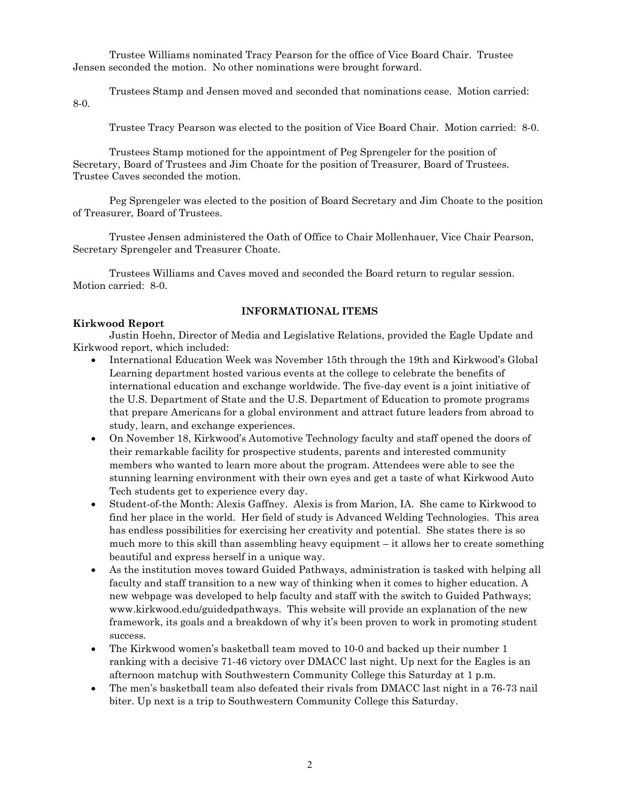Trustee Williams nominated Tracy Pearson for the office of Vice Board Chair. Trustee Jensen seconded the motion. No other nominations were brought forward.

Trustees Stamp and Jensen moved and seconded that nominations cease. Motion carried: 8-0.

Trustee Tracy Pearson was elected to the position of Vice Board Chair. Motion carried: 8-0.

Trustees Stamp motioned for the appointment of Peg Sprengeler for the position of Secretary, Board of Trustees and Jim Choate for the position of Treasurer, Board of Trustees. Trustee Caves seconded the motion.

Peg Sprengeler was elected to the position of Board Secretary and Jim Choate to the position of Treasurer, Board of Trustees.

 Trustee Jensen administered the Oath of Office to Chair Mollenhauer, Vice Chair Pearson, Secretary Sprengeler and Treasurer Choate.

Trustees Williams and Caves moved and seconded the Board return to regular session. Motion carried: 8-0.

### **Kirkwood Report**

### **INFORMATIONAL ITEMS**

Justin Hoehn, Director of Media and Legislative Relations, provided the Eagle Update and Kirkwood report, which included:

- International Education Week was November 15th through the 19th and Kirkwood's Global Learning department hosted various events at the college to celebrate the benefits of international education and exchange worldwide. The five-day event is a joint initiative of the U.S. Department of State and the U.S. Department of Education to promote programs that prepare Americans for a global environment and attract future leaders from abroad to study, learn, and exchange experiences.
- On November 18, Kirkwood's Automotive Technology faculty and staff opened the doors of their remarkable facility for prospective students, parents and interested community members who wanted to learn more about the program. Attendees were able to see the stunning learning environment with their own eyes and get a taste of what Kirkwood Auto Tech students get to experience every day.
- Student-of-the Month: Alexis Gaffney. Alexis is from Marion, IA. She came to Kirkwood to find her place in the world. Her field of study is Advanced Welding Technologies. This area has endless possibilities for exercising her creativity and potential. She states there is so much more to this skill than assembling heavy equipment – it allows her to create something beautiful and express herself in a unique way.
- As the institution moves toward Guided Pathways, administration is tasked with helping all faculty and staff transition to a new way of thinking when it comes to higher education. A new webpage was developed to help faculty and staff with the switch to Guided Pathways; [www.kirkwood.edu/guidedpathways.](http://www.kirkwood.edu/guidedpathways) This website will provide an explanation of the new framework, its goals and a breakdown of why it's been proven to work in promoting student success.
- The Kirkwood women's basketball team moved to 10-0 and backed up their number 1 ranking with a decisive 71-46 victory over DMACC last night. Up next for the Eagles is an afternoon matchup with Southwestern Community College this Saturday at 1 p.m.
- The men's basketball team also defeated their rivals from DMACC last night in a 76-73 nail biter. Up next is a trip to Southwestern Community College this Saturday.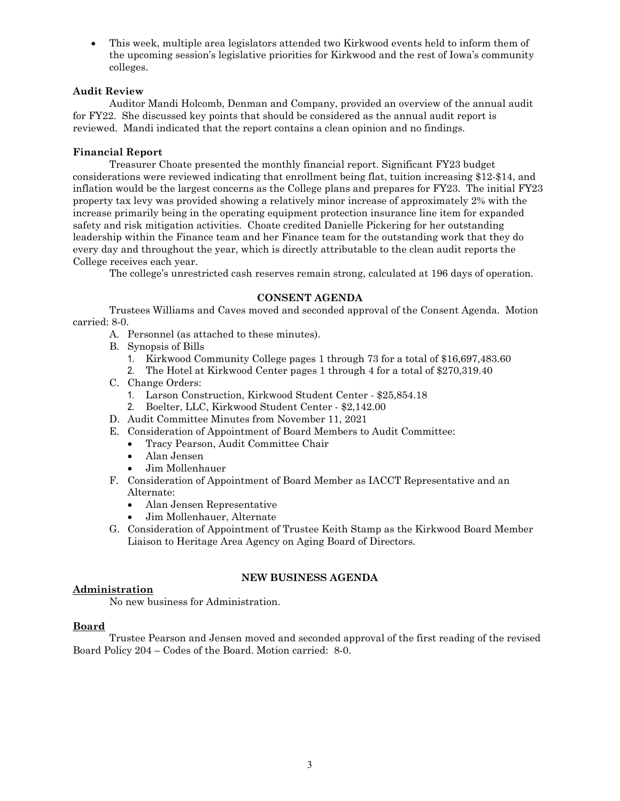• This week, multiple area legislators attended two Kirkwood events held to inform them of the upcoming session's legislative priorities for Kirkwood and the rest of Iowa's community colleges.

### **Audit Review**

Auditor Mandi Holcomb, Denman and Company, provided an overview of the annual audit for FY22. She discussed key points that should be considered as the annual audit report is reviewed. Mandi indicated that the report contains a clean opinion and no findings.

### **Financial Report**

Treasurer Choate presented the monthly financial report. Significant FY23 budget considerations were reviewed indicating that enrollment being flat, tuition increasing \$12-\$14, and inflation would be the largest concerns as the College plans and prepares for FY23. The initial FY23 property tax levy was provided showing a relatively minor increase of approximately 2% with the increase primarily being in the operating equipment protection insurance line item for expanded safety and risk mitigation activities. Choate credited Danielle Pickering for her outstanding leadership within the Finance team and her Finance team for the outstanding work that they do every day and throughout the year, which is directly attributable to the clean audit reports the College receives each year.

The college's unrestricted cash reserves remain strong, calculated at 196 days of operation.

### **CONSENT AGENDA**

Trustees Williams and Caves moved and seconded approval of the Consent Agenda. Motion carried: 8-0.

- A. Personnel (as attached to these minutes).
- B. Synopsis of Bills
	- 1. Kirkwood Community College pages 1 through 73 for a total of \$16,697,483.60
	- 2. The Hotel at Kirkwood Center pages 1 through 4 for a total of \$270,319.40
- C. Change Orders:
	- 1. Larson Construction, Kirkwood Student Center \$25,854.18
	- 2. Boelter, LLC, Kirkwood Student Center \$2,142.00
- D. Audit Committee Minutes from November 11, 2021
- E. Consideration of Appointment of Board Members to Audit Committee:
	- Tracy Pearson, Audit Committee Chair
	- Alan Jensen
	- Jim Mollenhauer
- F. Consideration of Appointment of Board Member as IACCT Representative and an Alternate:
	- Alan Jensen Representative
	- Jim Mollenhauer, Alternate
- G. Consideration of Appointment of Trustee Keith Stamp as the Kirkwood Board Member Liaison to Heritage Area Agency on Aging Board of Directors.

### **NEW BUSINESS AGENDA**

### **Administration**

No new business for Administration.

### **Board**

Trustee Pearson and Jensen moved and seconded approval of the first reading of the revised Board Policy 204 – Codes of the Board. Motion carried: 8-0.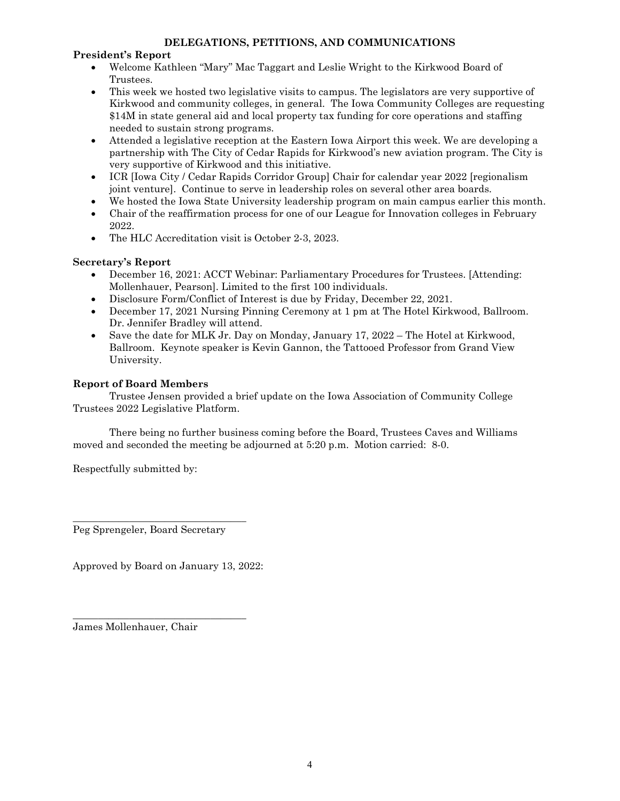## **DELEGATIONS, PETITIONS, AND COMMUNICATIONS**

## **President's Report**

- Welcome Kathleen "Mary" Mac Taggart and Leslie Wright to the Kirkwood Board of Trustees.
- This week we hosted two legislative visits to campus. The legislators are very supportive of Kirkwood and community colleges, in general. The Iowa Community Colleges are requesting \$14M in state general aid and local property tax funding for core operations and staffing needed to sustain strong programs.
- Attended a legislative reception at the Eastern Iowa Airport this week. We are developing a partnership with The City of Cedar Rapids for Kirkwood's new aviation program. The City is very supportive of Kirkwood and this initiative.
- ICR [Iowa City / Cedar Rapids Corridor Group] Chair for calendar year 2022 [regionalism joint venture]. Continue to serve in leadership roles on several other area boards.
- We hosted the Iowa State University leadership program on main campus earlier this month.
- Chair of the reaffirmation process for one of our League for Innovation colleges in February 2022.
- The HLC Accreditation visit is October 2-3, 2023.

# **Secretary's Report**

- December 16, 2021: ACCT Webinar: Parliamentary Procedures for Trustees. [Attending: Mollenhauer, Pearson]. Limited to the first 100 individuals.
- Disclosure Form/Conflict of Interest is due by Friday, December 22, 2021.
- December 17, 2021 Nursing Pinning Ceremony at 1 pm at The Hotel Kirkwood, Ballroom. Dr. Jennifer Bradley will attend.
- Save the date for MLK Jr. Day on Monday, January 17, 2022 The Hotel at Kirkwood, Ballroom. Keynote speaker is Kevin Gannon, the Tattooed Professor from Grand View University.

## **Report of Board Members**

Trustee Jensen provided a brief update on the Iowa Association of Community College Trustees 2022 Legislative Platform.

There being no further business coming before the Board, Trustees Caves and Williams moved and seconded the meeting be adjourned at 5:20 p.m. Motion carried: 8-0.

Respectfully submitted by:

Peg Sprengeler, Board Secretary

\_\_\_\_\_\_\_\_\_\_\_\_\_\_\_\_\_\_\_\_\_\_\_\_\_\_\_\_\_\_\_\_\_\_

Approved by Board on January 13, 2022:

\_\_\_\_\_\_\_\_\_\_\_\_\_\_\_\_\_\_\_\_\_\_\_\_\_\_\_\_\_\_\_\_\_\_

James Mollenhauer, Chair